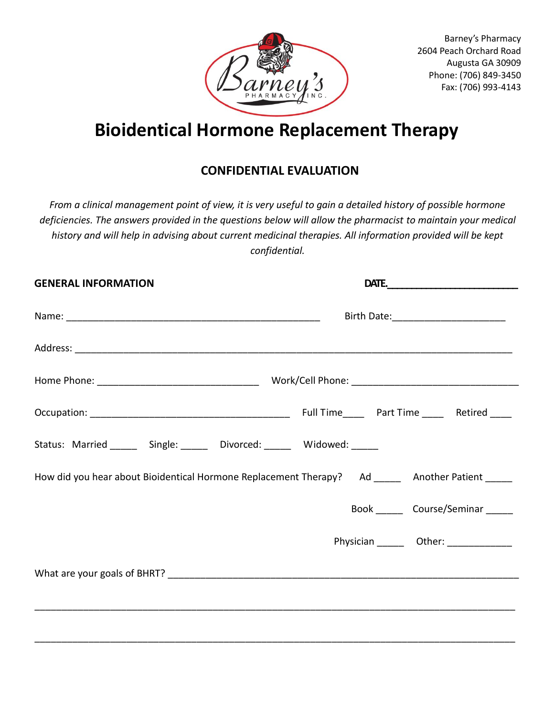

# **Bioidentical Hormone Replacement Therapy**

# **CONFIDENTIAL EVALUATION**

*From a clinical management point of view, it is very useful to gain a detailed history of possible hormone deficiencies. The answers provided in the questions below will allow the pharmacist to maintain your medical history and will help in advising about current medicinal therapies. All information provided will be kept confidential.*

| <b>GENERAL INFORMATION</b>                                            | DATE.                                                                                           |  |  |  |
|-----------------------------------------------------------------------|-------------------------------------------------------------------------------------------------|--|--|--|
|                                                                       |                                                                                                 |  |  |  |
|                                                                       |                                                                                                 |  |  |  |
|                                                                       |                                                                                                 |  |  |  |
|                                                                       |                                                                                                 |  |  |  |
| Status: Married ______ Single: ______ Divorced: ______ Widowed: _____ |                                                                                                 |  |  |  |
|                                                                       | How did you hear about Bioidentical Hormone Replacement Therapy? Ad _____ Another Patient _____ |  |  |  |
|                                                                       | Book Course/Seminar                                                                             |  |  |  |
|                                                                       | Physician ________ Other: ______________                                                        |  |  |  |
|                                                                       |                                                                                                 |  |  |  |
|                                                                       |                                                                                                 |  |  |  |
|                                                                       |                                                                                                 |  |  |  |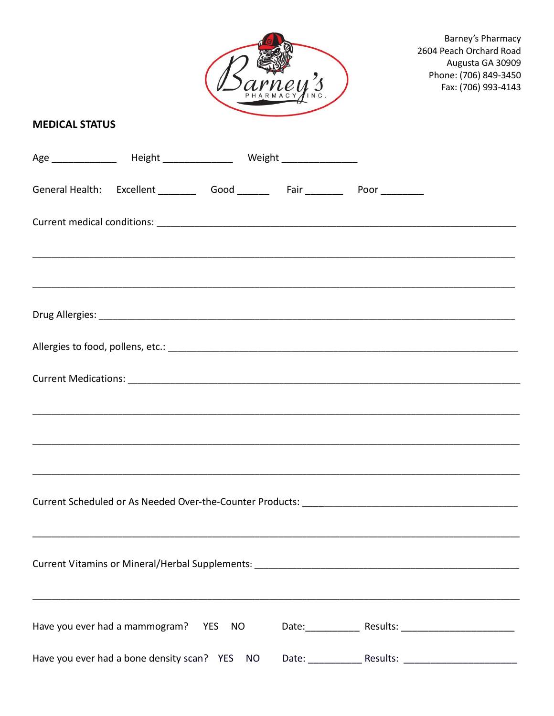

#### **MEDICAL STATUS**

|                                               |  | General Health: Excellent __________ Good ________ Fair ________ Poor _________   |  |
|-----------------------------------------------|--|-----------------------------------------------------------------------------------|--|
|                                               |  | ,我们也不能在这里的人,我们也不能在这里的人,我们也不能在这里的人,我们也不能在这里的人,我们也不能在这里的人,我们也不能在这里的人,我们也不能在这里的人,我们也 |  |
|                                               |  | ,我们也不能在这里的人,我们也不能在这里的人,我们也不能在这里的人,我们也不能在这里的人,我们也不能在这里的人,我们也不能在这里的人,我们也不能在这里的人,我们也 |  |
|                                               |  |                                                                                   |  |
|                                               |  |                                                                                   |  |
|                                               |  |                                                                                   |  |
|                                               |  |                                                                                   |  |
|                                               |  |                                                                                   |  |
|                                               |  |                                                                                   |  |
|                                               |  |                                                                                   |  |
|                                               |  | Current Vitamins or Mineral/Herbal Supplements: _________________________________ |  |
| Have you ever had a mammogram? YES NO         |  |                                                                                   |  |
| Have you ever had a bone density scan? YES NO |  | Date: Results: Results:                                                           |  |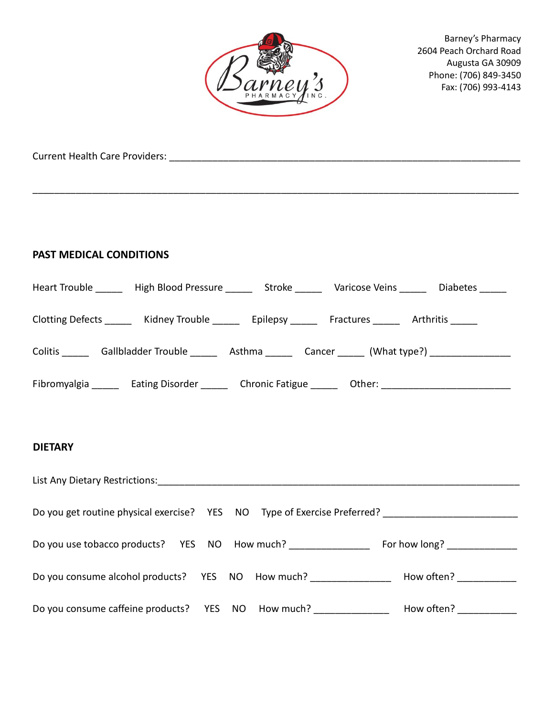

\_\_\_\_\_\_\_\_\_\_\_\_\_\_\_\_\_\_\_\_\_\_\_\_\_\_\_\_\_\_\_\_\_\_\_\_\_\_\_\_\_\_\_\_\_\_\_\_\_\_\_\_\_\_\_\_\_\_\_\_\_\_\_\_\_\_\_\_\_\_\_\_\_\_\_\_\_\_\_\_\_\_\_\_\_\_\_\_\_\_

Barney's Pharmacy 2604 Peach Orchard Road Augusta GA 30909 Phone: (706) 849-3450 Fax: (706) 993-4143

Current Health Care Providers: \_\_\_\_\_\_\_\_\_\_\_\_\_\_\_\_\_\_\_\_\_\_\_\_\_\_\_\_\_\_\_\_\_\_\_\_\_\_\_\_\_\_\_\_\_\_\_\_\_\_\_\_\_\_\_\_\_\_\_\_\_\_\_\_\_

#### **PAST MEDICAL CONDITIONS**

|                                                                                                           | Heart Trouble _______ High Blood Pressure ______ Stroke ______ Varicose Veins ______ Diabetes _____  |  |  |  |  |
|-----------------------------------------------------------------------------------------------------------|------------------------------------------------------------------------------------------------------|--|--|--|--|
|                                                                                                           | Clotting Defects ________ Kidney Trouble ________ Epilepsy _______ Fractures ______ Arthritis ______ |  |  |  |  |
| Colitis ________ Gallbladder Trouble ________ Asthma _______ Cancer ______ (What type?) _________________ |                                                                                                      |  |  |  |  |
| Fibromyalgia _______ Eating Disorder _______ Chronic Fatigue ______ Other: _________________________      |                                                                                                      |  |  |  |  |
|                                                                                                           |                                                                                                      |  |  |  |  |
| <b>DIETARY</b>                                                                                            |                                                                                                      |  |  |  |  |
|                                                                                                           |                                                                                                      |  |  |  |  |
| Do you get routine physical exercise? YES NO Type of Exercise Preferred? __________________________       |                                                                                                      |  |  |  |  |
| Do you use tobacco products? YES NO How much? ______________________ For how long? ________________       |                                                                                                      |  |  |  |  |
|                                                                                                           | Do you consume alcohol products? YES NO How much? ________________ How often? __________             |  |  |  |  |
|                                                                                                           | Do you consume caffeine products? YES NO How much? _______________ How often? _________              |  |  |  |  |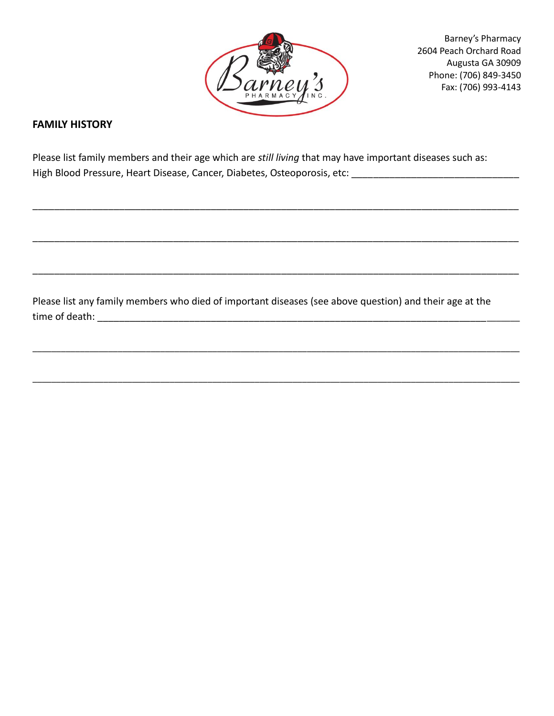

#### **FAMILY HISTORY**

Please list family members and their age which are *still living* that may have important diseases such as: High Blood Pressure, Heart Disease, Cancer, Diabetes, Osteoporosis, etc:

\_\_\_\_\_\_\_\_\_\_\_\_\_\_\_\_\_\_\_\_\_\_\_\_\_\_\_\_\_\_\_\_\_\_\_\_\_\_\_\_\_\_\_\_\_\_\_\_\_\_\_\_\_\_\_\_\_\_\_\_\_\_\_\_\_\_\_\_\_\_\_\_\_\_\_\_\_\_\_\_\_\_\_\_\_\_\_\_\_\_

\_\_\_\_\_\_\_\_\_\_\_\_\_\_\_\_\_\_\_\_\_\_\_\_\_\_\_\_\_\_\_\_\_\_\_\_\_\_\_\_\_\_\_\_\_\_\_\_\_\_\_\_\_\_\_\_\_\_\_\_\_\_\_\_\_\_\_\_\_\_\_\_\_\_\_\_\_\_\_\_\_\_\_\_\_\_\_\_\_\_

\_\_\_\_\_\_\_\_\_\_\_\_\_\_\_\_\_\_\_\_\_\_\_\_\_\_\_\_\_\_\_\_\_\_\_\_\_\_\_\_\_\_\_\_\_\_\_\_\_\_\_\_\_\_\_\_\_\_\_\_\_\_\_\_\_\_\_\_\_\_\_\_\_\_\_\_\_\_\_\_\_\_\_\_\_\_\_\_\_\_

\_\_\_\_\_\_\_\_\_\_\_\_\_\_\_\_\_\_\_\_\_\_\_\_\_\_\_\_\_\_\_\_\_\_\_\_\_\_\_\_\_\_\_\_\_\_\_\_\_\_\_\_\_\_\_\_\_\_\_\_\_\_\_\_\_\_\_\_\_\_\_\_\_\_\_\_\_\_\_\_\_\_\_\_\_\_\_\_\_\_\_\_\_\_\_\_\_\_\_\_\_\_\_

\_\_\_\_\_\_\_\_\_\_\_\_\_\_\_\_\_\_\_\_\_\_\_\_\_\_\_\_\_\_\_\_\_\_\_\_\_\_\_\_\_\_\_\_\_\_\_\_\_\_\_\_\_\_\_\_\_\_\_\_\_\_\_\_\_\_\_\_\_\_\_\_\_\_\_\_\_\_\_\_\_\_\_\_\_\_\_\_\_\_\_\_\_\_\_\_\_\_\_\_\_\_\_

Please list any family members who died of important diseases (see above question) and their age at the time of death: \_\_\_\_\_\_\_\_\_\_\_\_\_\_\_\_\_\_\_\_\_\_\_\_\_\_\_\_\_\_\_\_\_\_\_\_\_\_\_\_\_\_\_\_\_\_\_\_\_\_\_\_\_\_\_\_\_\_\_\_\_\_\_\_\_\_\_\_\_\_\_\_\_\_\_\_\_\_\_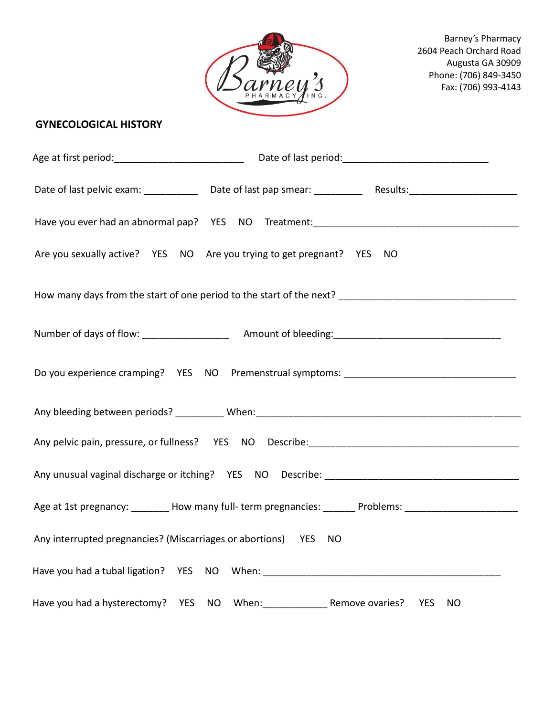

## **GYNECOLOGICAL HISTORY**

| Are you sexually active? YES NO Are you trying to get pregnant? YES NO                                        |  |           |  |  |
|---------------------------------------------------------------------------------------------------------------|--|-----------|--|--|
|                                                                                                               |  |           |  |  |
|                                                                                                               |  |           |  |  |
|                                                                                                               |  |           |  |  |
|                                                                                                               |  |           |  |  |
|                                                                                                               |  |           |  |  |
|                                                                                                               |  |           |  |  |
| Age at 1st pregnancy: ________ How many full- term pregnancies: _______ Problems: ___________________________ |  |           |  |  |
| Any interrupted pregnancies? (Miscarriages or abortions) YES NO                                               |  |           |  |  |
|                                                                                                               |  |           |  |  |
|                                                                                                               |  | <b>NO</b> |  |  |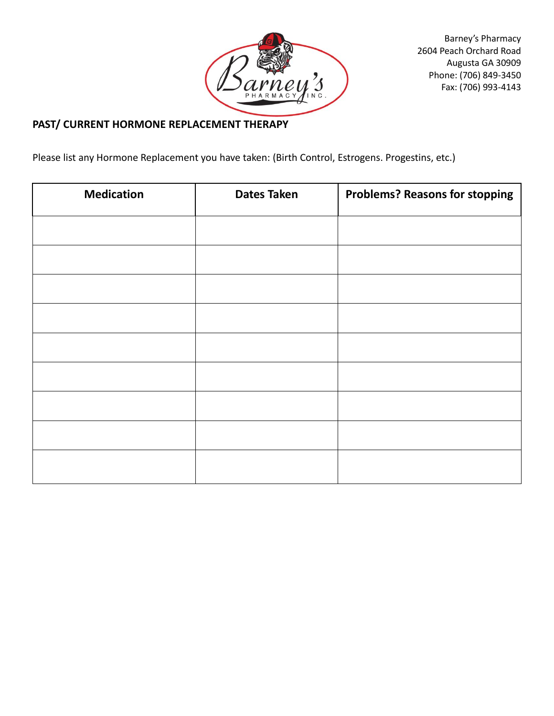

## **PAST/ CURRENT HORMONE REPLACEMENT THERAPY**

Please list any Hormone Replacement you have taken: (Birth Control, Estrogens. Progestins, etc.)

| <b>Medication</b> | <b>Dates Taken</b> | <b>Problems? Reasons for stopping</b> |
|-------------------|--------------------|---------------------------------------|
|                   |                    |                                       |
|                   |                    |                                       |
|                   |                    |                                       |
|                   |                    |                                       |
|                   |                    |                                       |
|                   |                    |                                       |
|                   |                    |                                       |
|                   |                    |                                       |
|                   |                    |                                       |